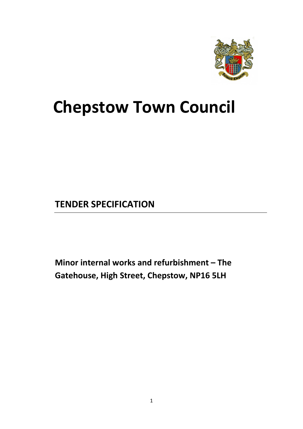

# **Chepstow Town Council**

**TENDER SPECIFICATION**

**Minor internal works and refurbishment – The Gatehouse, High Street, Chepstow, NP16 5LH**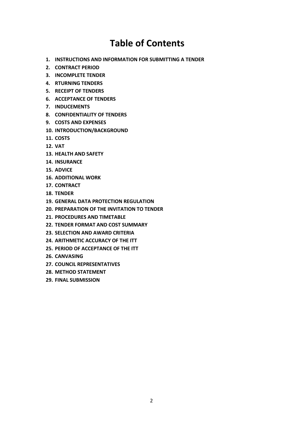# **Table of Contents**

- **1. INSTRUCTIONS AND INFORMATION FOR SUBMITTING A TENDER**
- **2. CONTRACT PERIOD**
- **3. INCOMPLETE TENDER**
- **4. RTURNING TENDERS**
- **5. RECEIPT OF TENDERS**
- **6. ACCEPTANCE OF TENDERS**
- **7. INDUCEMENTS**
- **8. CONFIDENTIALITY OF TENDERS**
- **9. COSTS AND EXPENSES**
- **10. INTRODUCTION/BACKGROUND**
- **11. COSTS**
- **12. VAT**
- **13. HEALTH AND SAFETY**
- **14. INSURANCE**
- **15. ADVICE**
- **16. ADDITIONAL WORK**
- **17. CONTRACT**
- **18. TENDER**
- **19. GENERAL DATA PROTECTION REGULATION**
- **20. PREPARATION OF THE INVITATION TO TENDER**
- **21. PROCEDURES AND TIMETABLE**
- **22. TENDER FORMAT AND COST SUMMARY**
- **23. SELECTION AND AWARD CRITERIA**
- **24. ARITHMETIC ACCURACY OF THE ITT**
- **25. PERIOD OF ACCEPTANCE OF THE ITT**
- **26. CANVASING**
- **27. COUNCIL REPRESENTATIVES**
- **28. METHOD STATEMENT**
- **29. FINAL SUBMISSION**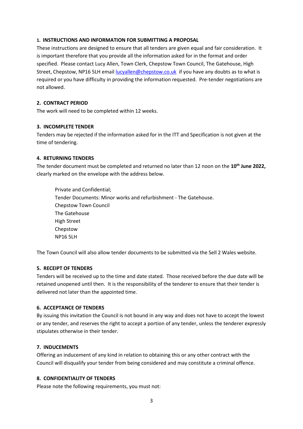### **1. INSTRUCTIONS AND INFORMATION FOR SUBMITTING A PROPOSAL**

These instructions are designed to ensure that all tenders are given equal and fair consideration. It is important therefore that you provide all the information asked for in the format and order specified. Please contact Lucy Allen, Town Clerk, Chepstow Town Council, The Gatehouse, High Street, Chepstow, NP16 5LH email [lucyallen@chepstow.co.uk](mailto:lucyallen@chepstow.co.uk) if you have any doubts as to what is required or you have difficulty in providing the information requested. Pre-tender negotiations are not allowed.

### **2. CONTRACT PERIOD**

The work will need to be completed within 12 weeks.

### **3. INCOMPLETE TENDER**

Tenders may be rejected if the information asked for in the ITT and Specification is not given at the time of tendering.

### **4. RETURNING TENDERS**

The tender document must be completed and returned no later than 12 noon on the **10th June 2022,** clearly marked on the envelope with the address below.

Private and Confidential; Tender Documents: Minor works and refurbishment - The Gatehouse. Chepstow Town Council The Gatehouse High Street Chepstow NP16 5LH

The Town Council will also allow tender documents to be submitted via the Sell 2 Wales website.

### **5. RECEIPT OF TENDERS**

Tenders will be received up to the time and date stated. Those received before the due date will be retained unopened until then. It is the responsibility of the tenderer to ensure that their tender is delivered not later than the appointed time.

### **6. ACCEPTANCE OF TENDERS**

By issuing this invitation the Council is not bound in any way and does not have to accept the lowest or any tender, and reserves the right to accept a portion of any tender, unless the tenderer expressly stipulates otherwise in their tender.

### **7. INDUCEMENTS**

Offering an inducement of any kind in relation to obtaining this or any other contract with the Council will disqualify your tender from being considered and may constitute a criminal offence.

### **8. CONFIDENTIALITY OF TENDERS**

Please note the following requirements, you must not: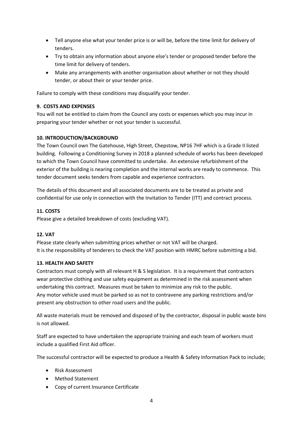- Tell anyone else what your tender price is or will be, before the time limit for delivery of tenders.
- Try to obtain any information about anyone else's tender or proposed tender before the time limit for delivery of tenders.
- Make any arrangements with another organisation about whether or not they should tender, or about their or your tender price.

Failure to comply with these conditions may disqualify your tender.

### **9. COSTS AND EXPENSES**

You will not be entitled to claim from the Council any costs or expenses which you may incur in preparing your tender whether or not your tender is successful.

### **10. INTRODUCTION/BACKGROUND**

The Town Council own The Gatehouse, High Street, Chepstow, NP16 7HF which is a Grade II listed building. Following a Conditioning Survey in 2018 a planned schedule of works has been developed to which the Town Council have committed to undertake. An extensive refurbishment of the exterior of the building is nearing completion and the internal works are ready to commence. This tender document seeks tenders from capable and experience contractors.

The details of this document and all associated documents are to be treated as private and confidential for use only in connection with the Invitation to Tender (ITT) and contract process.

### **11. COSTS**

Please give a detailed breakdown of costs (excluding VAT).

### **12. VAT**

Please state clearly when submitting prices whether or not VAT will be charged. It is the responsibility of tenderers to check the VAT position with HMRC before submitting a bid.

### **13. HEALTH AND SAFETY**

Contractors must comply with all relevant H & S legislation. It is a requirement that contractors wear protective clothing and use safety equipment as determined in the risk assessment when undertaking this contract. Measures must be taken to minimize any risk to the public. Any motor vehicle used must be parked so as not to contravene any parking restrictions and/or present any obstruction to other road users and the public.

All waste materials must be removed and disposed of by the contractor, disposal in public waste bins is not allowed.

Staff are expected to have undertaken the appropriate training and each team of workers must include a qualified First Aid officer.

The successful contractor will be expected to produce a Health & Safety Information Pack to include;

- Risk Assessment
- Method Statement
- Copy of current Insurance Certificate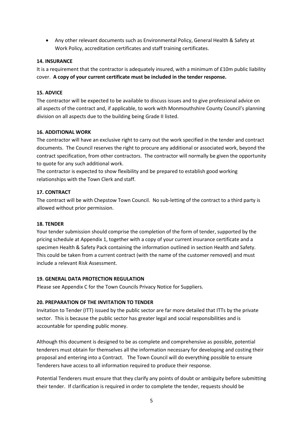Any other relevant documents such as Environmental Policy, General Health & Safety at Work Policy, accreditation certificates and staff training certificates.

### **14. INSURANCE**

It is a requirement that the contractor is adequately insured, with a minimum of £10m public liability cover. **A copy of your current certificate must be included in the tender response.**

### **15. ADVICE**

The contractor will be expected to be available to discuss issues and to give professional advice on all aspects of the contract and, if applicable, to work with Monmouthshire County Council's planning division on all aspects due to the building being Grade II listed.

### **16. ADDITIONAL WORK**

The contractor will have an exclusive right to carry out the work specified in the tender and contract documents. The Council reserves the right to procure any additional or associated work, beyond the contract specification, from other contractors. The contractor will normally be given the opportunity to quote for any such additional work.

The contractor is expected to show flexibility and be prepared to establish good working relationships with the Town Clerk and staff.

### **17. CONTRACT**

The contract will be with Chepstow Town Council. No sub-letting of the contract to a third party is allowed without prior permission.

### **18. TENDER**

Your tender submission should comprise the completion of the form of tender, supported by the pricing schedule at Appendix 1, together with a copy of your current insurance certificate and a specimen Health & Safety Pack containing the information outlined in section Health and Safety. This could be taken from a current contract (with the name of the customer removed) and must include a relevant Risk Assessment.

### **19. GENERAL DATA PROTECTION REGULATION**

Please see Appendix C for the Town Councils Privacy Notice for Suppliers.

### **20. PREPARATION OF THE INVITATION TO TENDER**

Invitation to Tender (ITT) issued by the public sector are far more detailed that ITTs by the private sector. This is because the public sector has greater legal and social responsibilities and is accountable for spending public money.

Although this document is designed to be as complete and comprehensive as possible, potential tenderers must obtain for themselves all the information necessary for developing and costing their proposal and entering into a Contract. The Town Council will do everything possible to ensure Tenderers have access to all information required to produce their response.

Potential Tenderers must ensure that they clarify any points of doubt or ambiguity before submitting their tender. If clarification is required in order to complete the tender, requests should be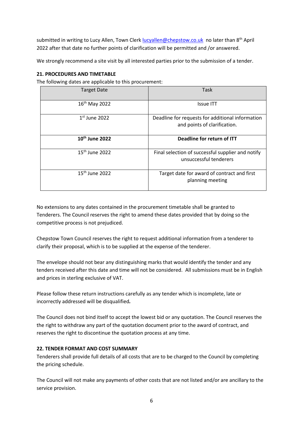submitted in writing to Lucy Allen, Town Clerk *Lucyallen@chepstow.co.uk* no later than 8<sup>th</sup> April 2022 after that date no further points of clarification will be permitted and /or answered.

We strongly recommend a site visit by all interested parties prior to the submission of a tender.

### **21. PROCEDURES AND TIMETABLE**

The following dates are applicable to this procurement:

| <b>Target Date</b>         | Task                                                                             |
|----------------------------|----------------------------------------------------------------------------------|
| $16th$ May 2022            | <b>Issue ITT</b>                                                                 |
| $1st$ June 2022            | Deadline for requests for additional information<br>and points of clarification. |
| $10th$ June 2022           | Deadline for return of ITT                                                       |
| $15th$ June 2022           | Final selection of successful supplier and notify<br>unsuccessful tenderers      |
| 15 <sup>th</sup> June 2022 | Target date for award of contract and first<br>planning meeting                  |

No extensions to any dates contained in the procurement timetable shall be granted to Tenderers. The Council reserves the right to amend these dates provided that by doing so the competitive process is not prejudiced.

Chepstow Town Council reserves the right to request additional information from a tenderer to clarify their proposal, which is to be supplied at the expense of the tenderer.

The envelope should not bear any distinguishing marks that would identify the tender and any tenders received after this date and time will not be considered. All submissions must be in English and prices in sterling exclusive of VAT.

Please follow these return instructions carefully as any tender which is incomplete, late or incorrectly addressed will be disqualified*.* 

The Council does not bind itself to accept the lowest bid or any quotation. The Council reserves the the right to withdraw any part of the quotation document prior to the award of contract, and reserves the right to discontinue the quotation process at any time.

### **22. TENDER FORMAT AND COST SUMMARY**

Tenderers shall provide full details of all costs that are to be charged to the Council by completing the pricing schedule.

The Council will not make any payments of other costs that are not listed and/or are ancillary to the service provision.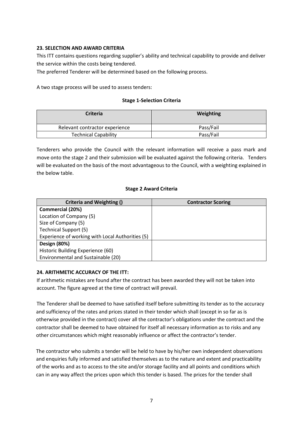### **23. SELECTION AND AWARD CRITERIA**

This ITT contains questions regarding supplier's ability and technical capability to provide and deliver the service within the costs being tendered.

The preferred Tenderer will be determined based on the following process.

A two stage process will be used to assess tenders:

### **Stage 1-Selection Criteria**

| <b>Criteria</b>                | Weighting |
|--------------------------------|-----------|
| Relevant contractor experience | Pass/Fail |
| <b>Technical Capability</b>    | Pass/Fail |

Tenderers who provide the Council with the relevant information will receive a pass mark and move onto the stage 2 and their submission will be evaluated against the following criteria. Tenders will be evaluated on the basis of the most advantageous to the Council, with a weighting explained in the below table.

### **Stage 2 Award Criteria**

| Criteria and Weighting ()                        | <b>Contractor Scoring</b> |
|--------------------------------------------------|---------------------------|
| Commercial (20%)                                 |                           |
| Location of Company (5)                          |                           |
| Size of Company (5)                              |                           |
| <b>Technical Support (5)</b>                     |                           |
| Experience of working with Local Authorities (5) |                           |
| <b>Design (80%)</b>                              |                           |
| Historic Building Experience (60)                |                           |
| Environmental and Sustainable (20)               |                           |

### **24. ARITHMETIC ACCURACY OF THE ITT:**

If arithmetic mistakes are found after the contract has been awarded they will not be taken into account. The figure agreed at the time of contract will prevail.

The Tenderer shall be deemed to have satisfied itself before submitting its tender as to the accuracy and sufficiency of the rates and prices stated in their tender which shall (except in so far as is otherwise provided in the contract) cover all the contractor's obligations under the contract and the contractor shall be deemed to have obtained for itself all necessary information as to risks and any other circumstances which might reasonably influence or affect the contractor's tender.

The contractor who submits a tender will be held to have by his/her own independent observations and enquiries fully informed and satisfied themselves as to the nature and extent and practicability of the works and as to access to the site and/or storage facility and all points and conditions which can in any way affect the prices upon which this tender is based. The prices for the tender shall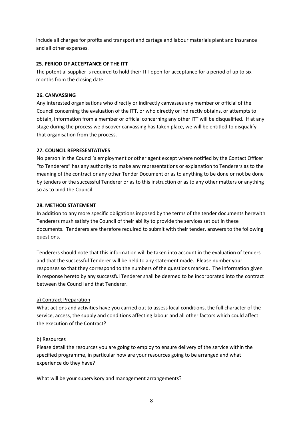include all charges for profits and transport and cartage and labour materials plant and insurance and all other expenses.

### **25. PERIOD OF ACCEPTANCE OF THE ITT**

The potential supplier is required to hold their ITT open for acceptance for a period of up to six months from the closing date.

### **26. CANVASSING**

Any interested organisations who directly or indirectly canvasses any member or official of the Council concerning the evaluation of the ITT, or who directly or indirectly obtains, or attempts to obtain, information from a member or official concerning any other ITT will be disqualified. If at any stage during the process we discover canvassing has taken place, we will be entitled to disqualify that organisation from the process.

### **27. COUNCIL REPRESENTATIVES**

No person in the Council's employment or other agent except where notified by the Contact Officer "to Tenderers" has any authority to make any representations or explanation to Tenderers as to the meaning of the contract or any other Tender Document or as to anything to be done or not be done by tenders or the successful Tenderer or as to this instruction or as to any other matters or anything so as to bind the Council.

### **28. METHOD STATEMENT**

In addition to any more specific obligations imposed by the terms of the tender documents herewith Tenderers mush satisfy the Council of their ability to provide the services set out in these documents. Tenderers are therefore required to submit with their tender, answers to the following questions.

Tenderers should note that this information will be taken into account in the evaluation of tenders and that the successful Tenderer will be held to any statement made. Please number your responses so that they correspond to the numbers of the questions marked. The information given in response hereto by any successful Tenderer shall be deemed to be incorporated into the contract between the Council and that Tenderer.

### a) Contract Preparation

What actions and activities have you carried out to assess local conditions, the full character of the service, access, the supply and conditions affecting labour and all other factors which could affect the execution of the Contract?

### b) Resources

Please detail the resources you are going to employ to ensure delivery of the service within the specified programme, in particular how are your resources going to be arranged and what experience do they have?

What will be your supervisory and management arrangements?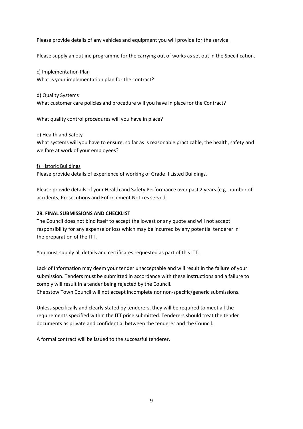Please provide details of any vehicles and equipment you will provide for the service.

Please supply an outline programme for the carrying out of works as set out in the Specification.

c) Implementation Plan What is your implementation plan for the contract?

d) Quality Systems What customer care policies and procedure will you have in place for the Contract?

What quality control procedures will you have in place?

### e) Health and Safety

What systems will you have to ensure, so far as is reasonable practicable, the health, safety and welfare at work of your employees?

### f) Historic Buildings

Please provide details of experience of working of Grade II Listed Buildings.

Please provide details of your Health and Safety Performance over past 2 years (e.g. number of accidents, Prosecutions and Enforcement Notices served.

### **29. FINAL SUBMISSIONS AND CHECKLIST**

The Council does not bind itself to accept the lowest or any quote and will not accept responsibility for any expense or loss which may be incurred by any potential tenderer in the preparation of the ITT.

You must supply all details and certificates requested as part of this ITT.

Lack of Information may deem your tender unacceptable and will result in the failure of your submission. Tenders must be submitted in accordance with these instructions and a failure to comply will result in a tender being rejected by the Council. Chepstow Town Council will not accept incomplete nor non-specific/generic submissions.

Unless specifically and clearly stated by tenderers, they will be required to meet all the requirements specified within the ITT price submitted. Tenderers should treat the tender documents as private and confidential between the tenderer and the Council.

A formal contract will be issued to the successful tenderer.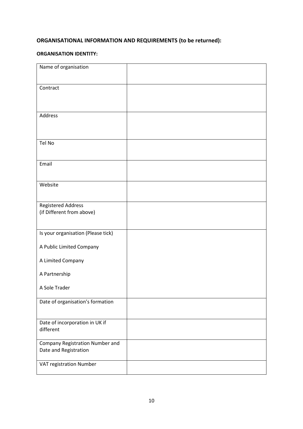### **ORGANISATIONAL INFORMATION AND REQUIREMENTS (to be returned):**

### **ORGANISATION IDENTITY:**

| Name of organisation                                     |  |
|----------------------------------------------------------|--|
| Contract                                                 |  |
| Address                                                  |  |
| Tel No                                                   |  |
| Email                                                    |  |
| Website                                                  |  |
| <b>Registered Address</b><br>(if Different from above)   |  |
| Is your organisation (Please tick)                       |  |
| A Public Limited Company                                 |  |
| A Limited Company                                        |  |
| A Partnership                                            |  |
| A Sole Trader                                            |  |
| Date of organisation's formation                         |  |
| Date of incorporation in UK if<br>different              |  |
| Company Registration Number and<br>Date and Registration |  |
| VAT registration Number                                  |  |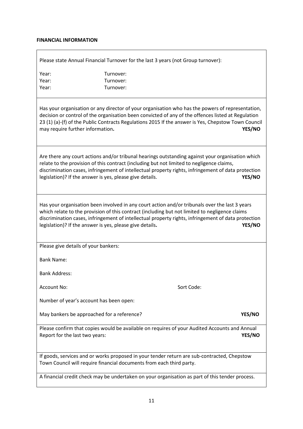### **FINANCIAL INFORMATION**

| Year:<br>Year:<br>Year:                                                                                                                                                                                                                                                                                                                                                       | Turnover:<br>Turnover:<br>Turnover:                                                                                                                                                                                                                                                                           |        |
|-------------------------------------------------------------------------------------------------------------------------------------------------------------------------------------------------------------------------------------------------------------------------------------------------------------------------------------------------------------------------------|---------------------------------------------------------------------------------------------------------------------------------------------------------------------------------------------------------------------------------------------------------------------------------------------------------------|--------|
| may require further information.                                                                                                                                                                                                                                                                                                                                              | Has your organisation or any director of your organisation who has the powers of representation,<br>decision or control of the organisation been convicted of any of the offences listed at Regulation<br>23 (1) (a)-(f) of the Public Contracts Regulations 2015 If the answer is Yes, Chepstow Town Council | YES/NO |
| legislation)? If the answer is yes, please give details.                                                                                                                                                                                                                                                                                                                      | Are there any court actions and/or tribunal hearings outstanding against your organisation which<br>relate to the provision of this contract (including but not limited to negligence claims,<br>discrimination cases, infringement of intellectual property rights, infringement of data protection          | YES/NO |
| Has your organisation been involved in any court action and/or tribunals over the last 3 years<br>which relate to the provision of this contract (including but not limited to negligence claims<br>discrimination cases, infringement of intellectual property rights, infringement of data protection<br>legislation)? If the answer is yes, please give details.<br>YES/NO |                                                                                                                                                                                                                                                                                                               |        |
| Please give details of your bankers:                                                                                                                                                                                                                                                                                                                                          |                                                                                                                                                                                                                                                                                                               |        |
| <b>Bank Name:</b>                                                                                                                                                                                                                                                                                                                                                             |                                                                                                                                                                                                                                                                                                               |        |
| <b>Bank Address:</b>                                                                                                                                                                                                                                                                                                                                                          |                                                                                                                                                                                                                                                                                                               |        |
| Account No:                                                                                                                                                                                                                                                                                                                                                                   | Sort Code:                                                                                                                                                                                                                                                                                                    |        |
| Number of year's account has been open:                                                                                                                                                                                                                                                                                                                                       |                                                                                                                                                                                                                                                                                                               |        |
| May bankers be approached for a reference?<br>YES/NO                                                                                                                                                                                                                                                                                                                          |                                                                                                                                                                                                                                                                                                               |        |
| Report for the last two years:                                                                                                                                                                                                                                                                                                                                                | Please confirm that copies would be available on requires of your Audited Accounts and Annual                                                                                                                                                                                                                 | YES/NO |
|                                                                                                                                                                                                                                                                                                                                                                               | If goods, services and or works proposed in your tender return are sub-contracted, Chepstow<br>Town Council will require financial documents from each third party.                                                                                                                                           |        |

Please state Annual Financial Turnover for the last 3 years (not Group turnover):

A financial credit check may be undertaken on your organisation as part of this tender process.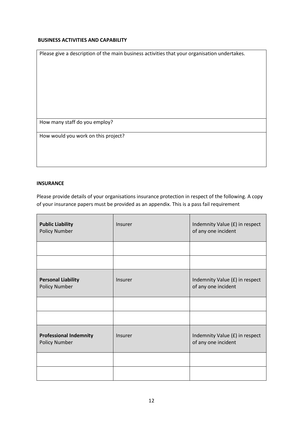#### **BUSINESS ACTIVITIES AND CAPABILITY**

Please give a description of the main business activities that your organisation undertakes.

How many staff do you employ?

How would you work on this project?

### **INSURANCE**

Please provide details of your organisations insurance protection in respect of the following. A copy of your insurance papers must be provided as an appendix. This is a pass fail requirement

| <b>Public Liability</b><br><b>Policy Number</b>       | Insurer        | Indemnity Value (£) in respect<br>of any one incident |
|-------------------------------------------------------|----------------|-------------------------------------------------------|
|                                                       |                |                                                       |
|                                                       |                |                                                       |
| <b>Personal Liability</b><br><b>Policy Number</b>     | Insurer        | Indemnity Value (£) in respect<br>of any one incident |
|                                                       |                |                                                       |
|                                                       |                |                                                       |
| <b>Professional Indemnity</b><br><b>Policy Number</b> | <b>Insurer</b> | Indemnity Value (£) in respect<br>of any one incident |
|                                                       |                |                                                       |
|                                                       |                |                                                       |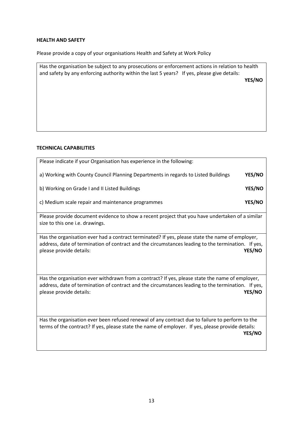### **HEALTH AND SAFETY**

Please provide a copy of your organisations Health and Safety at Work Policy

Has the organisation be subject to any prosecutions or enforcement actions in relation to health and safety by any enforcing authority within the last 5 years? If yes, please give details: **YES/NO**

### **TECHNICAL CAPABILITIES**

| Please indicate if your Organisation has experience in the following:                                                                                                                                                                      |               |
|--------------------------------------------------------------------------------------------------------------------------------------------------------------------------------------------------------------------------------------------|---------------|
| a) Working with County Council Planning Departments in regards to Listed Buildings                                                                                                                                                         | YES/NO        |
| b) Working on Grade I and II Listed Buildings                                                                                                                                                                                              | YES/NO        |
| c) Medium scale repair and maintenance programmes                                                                                                                                                                                          | YES/NO        |
| Please provide document evidence to show a recent project that you have undertaken of a similar<br>size to this one i.e. drawings.                                                                                                         |               |
| Has the organisation ever had a contract terminated? If yes, please state the name of employer,<br>address, date of termination of contract and the circumstances leading to the termination. If yes,<br>please provide details:           | YES/NO        |
| Has the organisation ever withdrawn from a contract? If yes, please state the name of employer,<br>address, date of termination of contract and the circumstances leading to the termination. If yes,<br>YES/NO<br>please provide details: |               |
| Has the organisation ever been refused renewal of any contract due to failure to perform to the<br>terms of the contract? If yes, please state the name of employer. If yes, please provide details:                                       | <b>YES/NO</b> |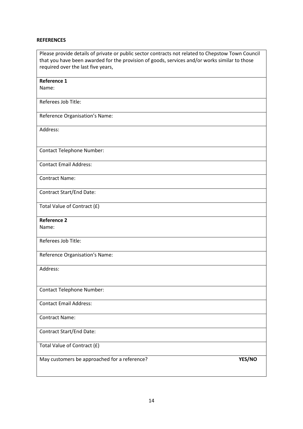### **REFERENCES**

| Please provide details of private or public sector contracts not related to Chepstow Town Council |
|---------------------------------------------------------------------------------------------------|
| that you have been awarded for the provision of goods, services and/or works similar to those     |
| required over the last five years,                                                                |
|                                                                                                   |
| <b>Reference 1</b>                                                                                |
| Name:                                                                                             |
|                                                                                                   |
| Referees Job Title:                                                                               |
|                                                                                                   |
|                                                                                                   |
| Reference Organisation's Name:                                                                    |
|                                                                                                   |
| Address:                                                                                          |
|                                                                                                   |
|                                                                                                   |
| <b>Contact Telephone Number:</b>                                                                  |
|                                                                                                   |
| <b>Contact Email Address:</b>                                                                     |
|                                                                                                   |
|                                                                                                   |
| <b>Contract Name:</b>                                                                             |
|                                                                                                   |
| <b>Contract Start/End Date:</b>                                                                   |
|                                                                                                   |
| Total Value of Contract (£)                                                                       |
|                                                                                                   |
| <b>Reference 2</b>                                                                                |
| Name:                                                                                             |
|                                                                                                   |
| Referees Job Title:                                                                               |
|                                                                                                   |
|                                                                                                   |
| Reference Organisation's Name:                                                                    |
|                                                                                                   |
| Address:                                                                                          |
|                                                                                                   |
|                                                                                                   |
| <b>Contact Telephone Number:</b>                                                                  |
|                                                                                                   |
| <b>Contact Email Address:</b>                                                                     |
|                                                                                                   |
|                                                                                                   |
| <b>Contract Name:</b>                                                                             |
|                                                                                                   |
| <b>Contract Start/End Date:</b>                                                                   |
|                                                                                                   |
| Total Value of Contract (£)                                                                       |
|                                                                                                   |
| May customers be approached for a reference?<br>YES/NO                                            |
|                                                                                                   |
|                                                                                                   |
|                                                                                                   |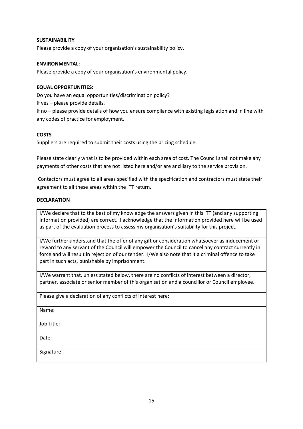### **SUSTAINABILITY**

Please provide a copy of your organisation's sustainability policy,

### **ENVIRONMENTAL:**

Please provide a copy of your organisation's environmental policy.

### **EQUAL OPPORTUNITIES:**

Do you have an equal opportunities/discrimination policy?

If yes – please provide details.

If no – please provide details of how you ensure compliance with existing legislation and in line with any codes of practice for employment.

### **COSTS**

Suppliers are required to submit their costs using the pricing schedule.

Please state clearly what is to be provided within each area of cost. The Council shall not make any payments of other costs that are not listed here and/or are ancillary to the service provision.

Contactors must agree to all areas specified with the specification and contractors must state their agreement to all these areas within the ITT return.

### **DECLARATION**

I/We declare that to the best of my knowledge the answers given in this ITT (and any supporting information provided) are correct. I acknowledge that the information provided here will be used as part of the evaluation process to assess my organisation's suitability for this project.

I/We further understand that the offer of any gift or consideration whatsoever as inducement or reward to any servant of the Council will empower the Council to cancel any contract currently in force and will result in rejection of our tender. I/We also note that it a criminal offence to take part in such acts, punishable by imprisonment.

I/We warrant that, unless stated below, there are no conflicts of interest between a director, partner, associate or senior member of this organisation and a councillor or Council employee.

Please give a declaration of any conflicts of interest here:

Name:

Job Title:

Date:

Signature: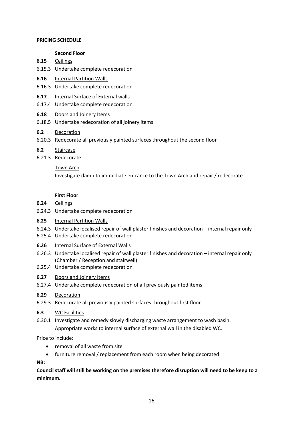### **PRICING SCHEDULE**

### **Second Floor**

- **6.15** Ceilings
- 6.15.3 Undertake complete redecoration
- **6.16** Internal Partition Walls
- 6.16.3 Undertake complete redecoration
- **6.17** Internal Surface of External walls
- 6.17.4 Undertake complete redecoration
- **6.18** Doors and Joinery Items
- 6.18.5 Undertake redecoration of all joinery items

### **6.2** Decoration

- 6.20.3 Redecorate all previously painted surfaces throughout the second floor
- **6.2** Staircase
- 6.21.3 Redecorate

Town Arch Investigate damp to immediate entrance to the Town Arch and repair / redecorate

### **First Floor**

- **6.24** Ceilings
- 6.24.3 Undertake complete redecoration
- **6.25** Internal Partition Walls
- 6.24.3 Undertake localised repair of wall plaster finishes and decoration internal repair only
- 6.25.4 Undertake complete redecoration
- **6.26** Internal Surface of External Walls
- 6.26.3 Undertake localised repair of wall plaster finishes and decoration internal repair only (Chamber / Reception and stairwell)
- 6.25.4 Undertake complete redecoration
- **6.27** Doors and Joinery Items
- 6.27.4 Undertake complete redecoration of all previously painted items
- **6.29** Decoration
- 6.29.3 Redecorate all previously painted surfaces throughout first floor
- **6.3** WC Facilities
- 6.30.1 Investigate and remedy slowly discharging waste arrangement to wash basin. Appropriate works to internal surface of external wall in the disabled WC.

Price to include:

- removal of all waste from site
- furniture removal / replacement from each room when being decorated

**NB:**

**Council staff will still be working on the premises therefore disruption will need to be keep to a minimum.**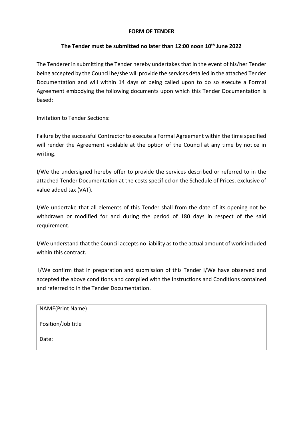### **FORM OF TENDER**

### **The Tender must be submitted no later than 12:00 noon 10th June 2022**

The Tenderer in submitting the Tender hereby undertakes that in the event of his/her Tender being accepted by the Council he/she will provide the services detailed in the attached Tender Documentation and will within 14 days of being called upon to do so execute a Formal Agreement embodying the following documents upon which this Tender Documentation is based:

Invitation to Tender Sections:

Failure by the successful Contractor to execute a Formal Agreement within the time specified will render the Agreement voidable at the option of the Council at any time by notice in writing.

I/We the undersigned hereby offer to provide the services described or referred to in the attached Tender Documentation at the costs specified on the Schedule of Prices, exclusive of value added tax (VAT).

I/We undertake that all elements of this Tender shall from the date of its opening not be withdrawn or modified for and during the period of 180 days in respect of the said requirement.

I/We understand that the Council accepts no liability as to the actual amount of work included within this contract.

I/We confirm that in preparation and submission of this Tender I/We have observed and accepted the above conditions and complied with the Instructions and Conditions contained and referred to in the Tender Documentation.

| NAME(Print Name)   |  |
|--------------------|--|
| Position/Job title |  |
| Date:              |  |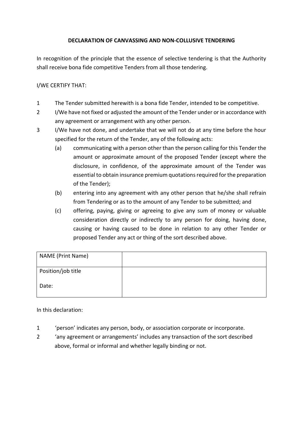### **DECLARATION OF CANVASSING AND NON-COLLUSIVE TENDERING**

In recognition of the principle that the essence of selective tendering is that the Authority shall receive bona fide competitive Tenders from all those tendering.

### I/WE CERTIFY THAT:

- 1 The Tender submitted herewith is a bona fide Tender, intended to be competitive.
- 2 I/We have not fixed or adjusted the amount of the Tender under or in accordance with any agreement or arrangement with any other person.
- 3 I/We have not done, and undertake that we will not do at any time before the hour specified for the return of the Tender, any of the following acts:
	- (a) communicating with a person other than the person calling for this Tender the amount or approximate amount of the proposed Tender (except where the disclosure, in confidence, of the approximate amount of the Tender was essential to obtain insurance premium quotations required for the preparation of the Tender);
	- (b) entering into any agreement with any other person that he/she shall refrain from Tendering or as to the amount of any Tender to be submitted; and
	- (c) offering, paying, giving or agreeing to give any sum of money or valuable consideration directly or indirectly to any person for doing, having done, causing or having caused to be done in relation to any other Tender or proposed Tender any act or thing of the sort described above.

| NAME (Print Name)  |  |
|--------------------|--|
| Position/job title |  |
| Date:              |  |

In this declaration:

- 1 'person' indicates any person, body, or association corporate or incorporate.
- 2 'any agreement or arrangements' includes any transaction of the sort described above, formal or informal and whether legally binding or not.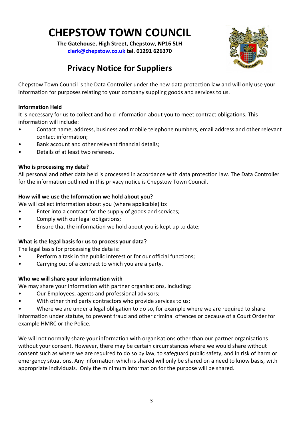# **CHEPSTOW TOWN COUNCIL**

**The Gatehouse, High Street, Chepstow, NP16 5LH [clerk@chepstow.co.uk](mailto:clerk@chepstow.co.uk) tel. 01291 626370**



## **Privacy Notice for Suppliers**

Chepstow Town Council is the Data Controller under the new data protection law and will only use your information for purposes relating to your company suppling goods and services to us.

### **Information Held**

It is necessary for us to collect and hold information about you to meet contract obligations. This information will include:

- Contact name, address, business and mobile telephone numbers, email address and other relevant contact information;
- Bank account and other relevant financial details:
- Details of at least two referees.

### **Who is processing my data?**

All personal and other data held is processed in accordance with data protection law. The Data Controller for the information outlined in this privacy notice is Chepstow Town Council.

### **How will we use the Information we hold about you?**

We will collect information about you (where applicable) to:

- Enter into a contract for the supply of goods and services;
- Comply with our legal obligations;
- Ensure that the information we hold about you is kept up to date;

### **What is the legal basis for us to process your data?**

The legal basis for processing the data is:

- Perform a task in the public interest or for our official functions;
- Carrying out of a contract to which you are a party.

### **Who we will share your information with**

We may share your information with partner organisations, including:

- Our Employees, agents and professional advisors;
- With other third party contractors who provide services to us;

• Where we are under a legal obligation to do so, for example where we are required to share information under statute, to prevent fraud and other criminal offences or because of a Court Order for example HMRC or the Police.

We will not normally share your information with organisations other than our partner organisations without your consent. However, there may be certain circumstances where we would share without consent such as where we are required to do so by law, to safeguard public safety, and in risk of harm or emergency situations. Any information which is shared will only be shared on a need to know basis, with appropriate individuals. Only the minimum information for the purpose will be shared.